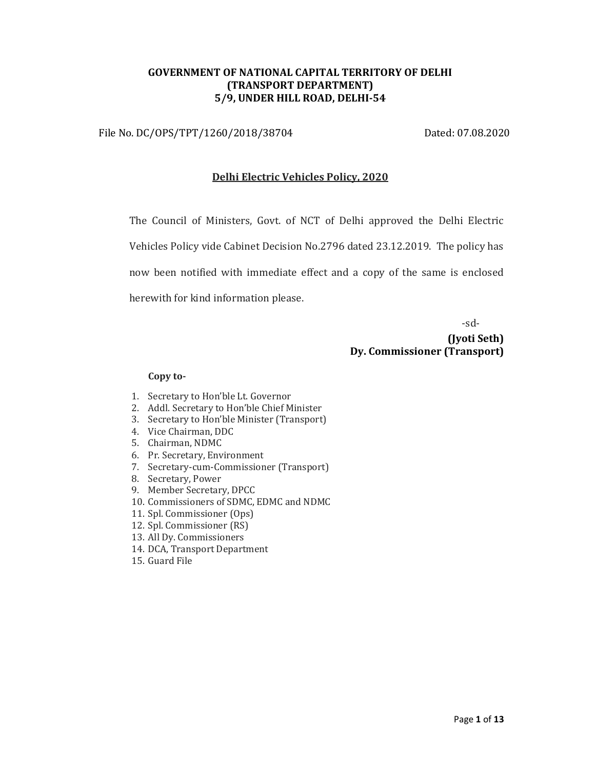## GOVERNMENT OF NATIONAL CAPITAL TERRITORY OF DELHI (TRANSPORT DEPARTMENT) 5/9, UNDER HILL ROAD, DELHI-54

File No. DC/OPS/TPT/1260/2018/38704 Dated: 07.08.2020

#### Delhi Electric Vehicles Policy, 2020

The Council of Ministers, Govt. of NCT of Delhi approved the Delhi Electric Vehicles Policy vide Cabinet Decision No.2796 dated 23.12.2019. The policy has now been notified with immediate effect and a copy of the same is enclosed herewith for kind information please.

-sd-

(Jyoti Seth) Dy. Commissioner (Transport)

#### Copy to-

- 1. Secretary to Hon'ble Lt. Governor
- 2. Addl. Secretary to Hon'ble Chief Minister
- 3. Secretary to Hon'ble Minister (Transport)
- 4. Vice Chairman, DDC
- 5. Chairman, NDMC
- 6. Pr. Secretary, Environment
- 7. Secretary-cum-Commissioner (Transport)
- 8. Secretary, Power
- 9. Member Secretary, DPCC
- 10. Commissioners of SDMC, EDMC and NDMC
- 11. Spl. Commissioner (Ops)
- 12. Spl. Commissioner (RS)
- 13. All Dy. Commissioners
- 14. DCA, Transport Department
- 15. Guard File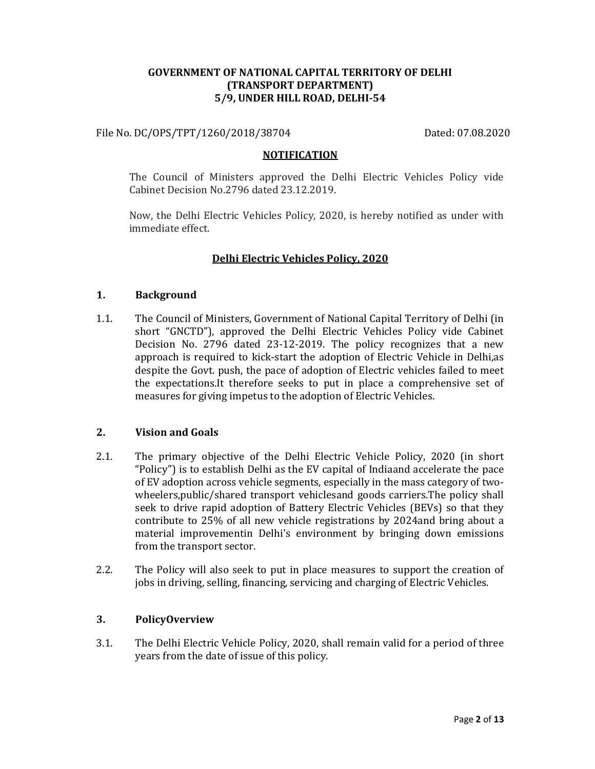## GOVERNMENT OF NATIONAL CAPITAL TERRITORY OF DELHI (TRANSPORT DEPARTMENT) 5/9, UNDER HILL ROAD, DELHI-54

File No. DC/OPS/TPT/1260/2018/38704 Dated: 07.08.2020

#### **NOTIFICATION**

The Council of Ministers approved the Delhi Electric Vehicles Policy vide Cabinet Decision No.2796 dated 23.12.2019.

Now, the Delhi Electric Vehicles Policy, 2020, is hereby notified as under with immediate effect.

## Delhi Electric Vehicles Policy, 2020

#### 1. Background

1.1. The Council of Ministers, Government of National Capital Territory of Delhi (in short "GNCTD"), approved the Delhi Electric Vehicles Policy vide Cabinet Decision No. 2796 dated 23-12-2019. The policy recognizes that a new approach is required to kick-start the adoption of Electric Vehicle in Delhi,as despite the Govt. push, the pace of adoption of Electric vehicles failed to meet the expectations.It therefore seeks to put in place a comprehensive set of measures for giving impetus to the adoption of Electric Vehicles.

## 2. Vision and Goals

- 2.1. The primary objective of the Delhi Electric Vehicle Policy, 2020 (in short "Policy") is to establish Delhi as the EV capital of Indiaand accelerate the pace of EV adoption across vehicle segments, especially in the mass category of twowheelers,public/shared transport vehiclesand goods carriers.The policy shall seek to drive rapid adoption of Battery Electric Vehicles (BEVs) so that they contribute to 25% of all new vehicle registrations by 2024and bring about a material improvementin Delhi's environment by bringing down emissions from the transport sector.
- 2.2. The Policy will also seek to put in place measures to support the creation of jobs in driving, selling, financing, servicing and charging of Electric Vehicles.

## 3. PolicyOverview

3.1. The Delhi Electric Vehicle Policy, 2020, shall remain valid for a period of three years from the date of issue of this policy.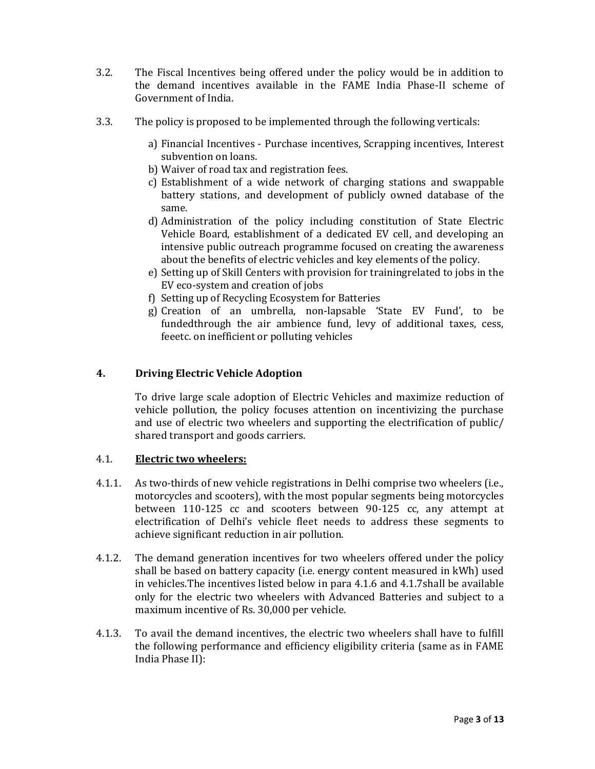- 3.2. The Fiscal Incentives being offered under the policy would be in addition to the demand incentives available in the FAME India Phase-II scheme of Government of India.
- 3.3. The policy is proposed to be implemented through the following verticals:
	- a) Financial Incentives Purchase incentives, Scrapping incentives, Interest subvention on loans.
	- b) Waiver of road tax and registration fees.
	- c) Establishment of a wide network of charging stations and swappable battery stations, and development of publicly owned database of the same.
	- d) Administration of the policy including constitution of State Electric Vehicle Board, establishment of a dedicated EV cell, and developing an intensive public outreach programme focused on creating the awareness about the benefits of electric vehicles and key elements of the policy.
	- e) Setting up of Skill Centers with provision for trainingrelated to jobs in the EV eco-system and creation of jobs
	- f) Setting up of Recycling Ecosystem for Batteries
	- g) Creation of an umbrella, non-lapsable 'State EV Fund', to be fundedthrough the air ambience fund, levy of additional taxes, cess, feeetc. on inefficient or polluting vehicles

## 4. Driving Electric Vehicle Adoption

To drive large scale adoption of Electric Vehicles and maximize reduction of vehicle pollution, the policy focuses attention on incentivizing the purchase and use of electric two wheelers and supporting the electrification of public/ shared transport and goods carriers.

## 4.1. **Electric two wheelers:**

- 4.1.1. As two-thirds of new vehicle registrations in Delhi comprise two wheelers (i.e., motorcycles and scooters), with the most popular segments being motorcycles between 110-125 cc and scooters between 90-125 cc, any attempt at electrification of Delhi's vehicle fleet needs to address these segments to achieve significant reduction in air pollution.
- 4.1.2. The demand generation incentives for two wheelers offered under the policy shall be based on battery capacity (i.e. energy content measured in kWh) used in vehicles.The incentives listed below in para 4.1.6 and 4.1.7shall be available only for the electric two wheelers with Advanced Batteries and subject to a maximum incentive of Rs. 30,000 per vehicle.
- 4.1.3. To avail the demand incentives, the electric two wheelers shall have to fulfill the following performance and efficiency eligibility criteria (same as in FAME India Phase II):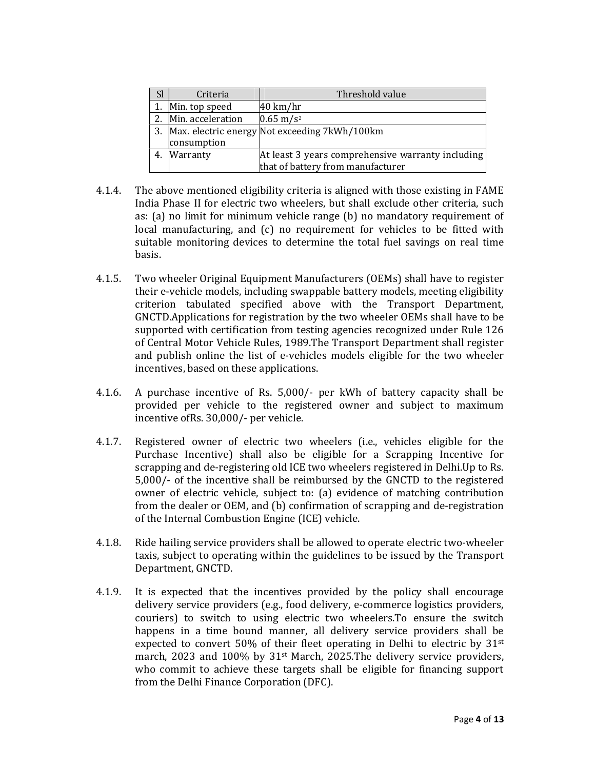| <b>Sl</b> | Criteria          | Threshold value                                   |
|-----------|-------------------|---------------------------------------------------|
|           | Min. top speed    | $40 \text{ km/hr}$                                |
|           | Min. acceleration | $0.65 \text{ m/s}^2$                              |
| 3.        |                   | Max. electric energy Not exceeding 7kWh/100km     |
|           | consumption       |                                                   |
| 4.        | Warranty          | At least 3 years comprehensive warranty including |
|           |                   | that of battery from manufacturer                 |

- 4.1.4. The above mentioned eligibility criteria is aligned with those existing in FAME India Phase II for electric two wheelers, but shall exclude other criteria, such as: (a) no limit for minimum vehicle range (b) no mandatory requirement of local manufacturing, and (c) no requirement for vehicles to be fitted with suitable monitoring devices to determine the total fuel savings on real time basis.
- 4.1.5. Two wheeler Original Equipment Manufacturers (OEMs) shall have to register their e-vehicle models, including swappable battery models, meeting eligibility criterion tabulated specified above with the Transport Department, GNCTD.Applications for registration by the two wheeler OEMs shall have to be supported with certification from testing agencies recognized under Rule 126 of Central Motor Vehicle Rules, 1989.The Transport Department shall register and publish online the list of e-vehicles models eligible for the two wheeler incentives, based on these applications.
- 4.1.6. A purchase incentive of Rs. 5,000/- per kWh of battery capacity shall be provided per vehicle to the registered owner and subject to maximum incentive ofRs. 30,000/- per vehicle.
- 4.1.7. Registered owner of electric two wheelers (i.e., vehicles eligible for the Purchase Incentive) shall also be eligible for a Scrapping Incentive for scrapping and de-registering old ICE two wheelers registered in Delhi.Up to Rs. 5,000/- of the incentive shall be reimbursed by the GNCTD to the registered owner of electric vehicle, subject to: (a) evidence of matching contribution from the dealer or OEM, and (b) confirmation of scrapping and de-registration of the Internal Combustion Engine (ICE) vehicle.
- 4.1.8. Ride hailing service providers shall be allowed to operate electric two-wheeler taxis, subject to operating within the guidelines to be issued by the Transport Department, GNCTD.
- 4.1.9. It is expected that the incentives provided by the policy shall encourage delivery service providers (e.g., food delivery, e-commerce logistics providers, couriers) to switch to using electric two wheelers.To ensure the switch happens in a time bound manner, all delivery service providers shall be expected to convert 50% of their fleet operating in Delhi to electric by  $31<sup>st</sup>$ march, 2023 and 100% by 31st March, 2025.The delivery service providers, who commit to achieve these targets shall be eligible for financing support from the Delhi Finance Corporation (DFC).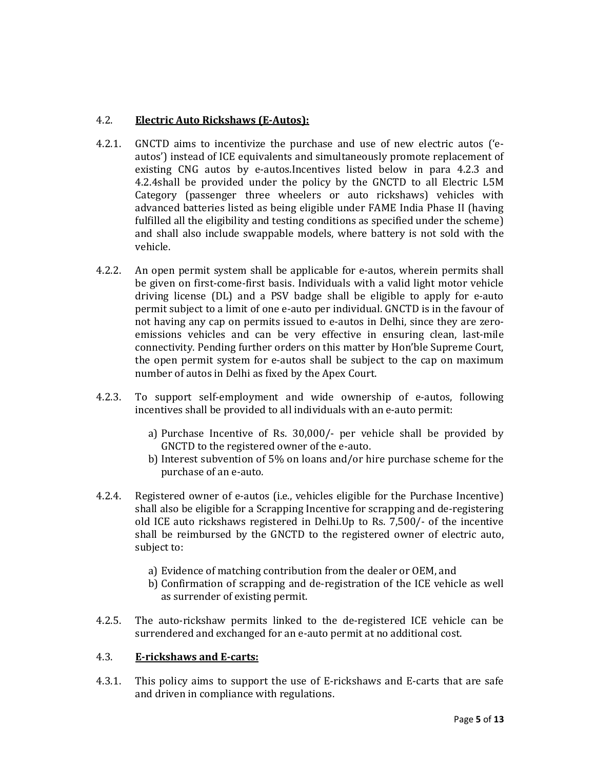# 4.2. Electric Auto Rickshaws (E-Autos):

- 4.2.1. GNCTD aims to incentivize the purchase and use of new electric autos ('eautos') instead of ICE equivalents and simultaneously promote replacement of existing CNG autos by e-autos.Incentives listed below in para 4.2.3 and 4.2.4shall be provided under the policy by the GNCTD to all Electric L5M Category (passenger three wheelers or auto rickshaws) vehicles with advanced batteries listed as being eligible under FAME India Phase II (having fulfilled all the eligibility and testing conditions as specified under the scheme) and shall also include swappable models, where battery is not sold with the vehicle.
- 4.2.2. An open permit system shall be applicable for e-autos, wherein permits shall be given on first-come-first basis. Individuals with a valid light motor vehicle driving license (DL) and a PSV badge shall be eligible to apply for e-auto permit subject to a limit of one e-auto per individual. GNCTD is in the favour of not having any cap on permits issued to e-autos in Delhi, since they are zeroemissions vehicles and can be very effective in ensuring clean, last-mile connectivity. Pending further orders on this matter by Hon'ble Supreme Court, the open permit system for e-autos shall be subject to the cap on maximum number of autos in Delhi as fixed by the Apex Court.
- 4.2.3. To support self-employment and wide ownership of e-autos, following incentives shall be provided to all individuals with an e-auto permit:
	- a) Purchase Incentive of Rs. 30,000/- per vehicle shall be provided by GNCTD to the registered owner of the e-auto.
	- b) Interest subvention of 5% on loans and/or hire purchase scheme for the purchase of an e-auto.
- 4.2.4. Registered owner of e-autos (i.e., vehicles eligible for the Purchase Incentive) shall also be eligible for a Scrapping Incentive for scrapping and de-registering old ICE auto rickshaws registered in Delhi.Up to Rs. 7,500/- of the incentive shall be reimbursed by the GNCTD to the registered owner of electric auto, subject to:
	- a) Evidence of matching contribution from the dealer or OEM, and
	- b) Confirmation of scrapping and de-registration of the ICE vehicle as well as surrender of existing permit.
- 4.2.5. The auto-rickshaw permits linked to the de-registered ICE vehicle can be surrendered and exchanged for an e-auto permit at no additional cost.

## 4.3. E-rickshaws and E-carts:

4.3.1. This policy aims to support the use of E-rickshaws and E-carts that are safe and driven in compliance with regulations.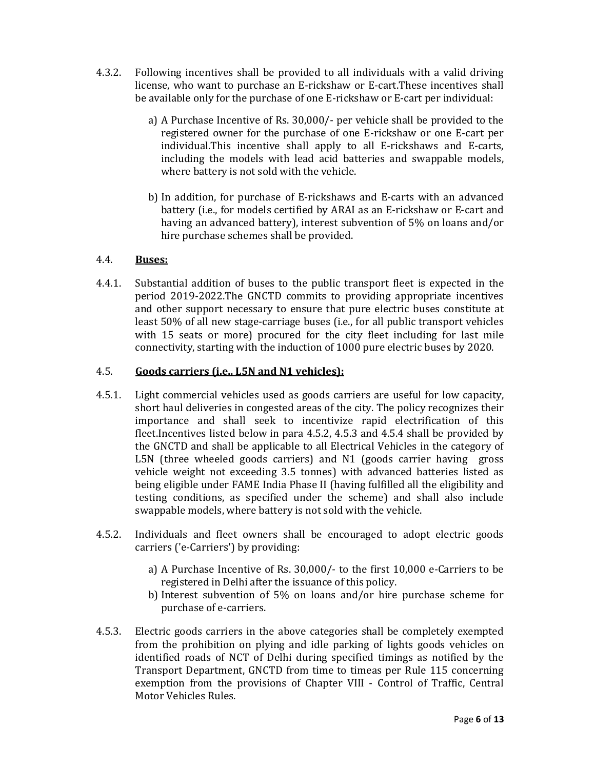- 4.3.2. Following incentives shall be provided to all individuals with a valid driving license, who want to purchase an E-rickshaw or E-cart.These incentives shall be available only for the purchase of one E-rickshaw or E-cart per individual:
	- a) A Purchase Incentive of Rs. 30,000/- per vehicle shall be provided to the registered owner for the purchase of one E-rickshaw or one E-cart per individual.This incentive shall apply to all E-rickshaws and E-carts, including the models with lead acid batteries and swappable models, where battery is not sold with the vehicle.
	- b) In addition, for purchase of E-rickshaws and E-carts with an advanced battery (i.e., for models certified by ARAI as an E-rickshaw or E-cart and having an advanced battery), interest subvention of 5% on loans and/or hire purchase schemes shall be provided.

## 4.4. Buses:

4.4.1. Substantial addition of buses to the public transport fleet is expected in the period 2019-2022.The GNCTD commits to providing appropriate incentives and other support necessary to ensure that pure electric buses constitute at least 50% of all new stage-carriage buses (i.e., for all public transport vehicles with 15 seats or more) procured for the city fleet including for last mile connectivity, starting with the induction of 1000 pure electric buses by 2020.

## 4.5. Goods carriers (i.e., L5N and N1 vehicles):

- 4.5.1. Light commercial vehicles used as goods carriers are useful for low capacity, short haul deliveries in congested areas of the city. The policy recognizes their importance and shall seek to incentivize rapid electrification of this fleet.Incentives listed below in para 4.5.2, 4.5.3 and 4.5.4 shall be provided by the GNCTD and shall be applicable to all Electrical Vehicles in the category of L5N (three wheeled goods carriers) and N1 (goods carrier having gross vehicle weight not exceeding 3.5 tonnes) with advanced batteries listed as being eligible under FAME India Phase II (having fulfilled all the eligibility and testing conditions, as specified under the scheme) and shall also include swappable models, where battery is not sold with the vehicle.
- 4.5.2. Individuals and fleet owners shall be encouraged to adopt electric goods carriers ('e-Carriers') by providing:
	- a) A Purchase Incentive of Rs. 30,000/- to the first 10,000 e-Carriers to be registered in Delhi after the issuance of this policy.
	- b) Interest subvention of 5% on loans and/or hire purchase scheme for purchase of e-carriers.
- 4.5.3. Electric goods carriers in the above categories shall be completely exempted from the prohibition on plying and idle parking of lights goods vehicles on identified roads of NCT of Delhi during specified timings as notified by the Transport Department, GNCTD from time to timeas per Rule 115 concerning exemption from the provisions of Chapter VIII - Control of Traffic, Central Motor Vehicles Rules.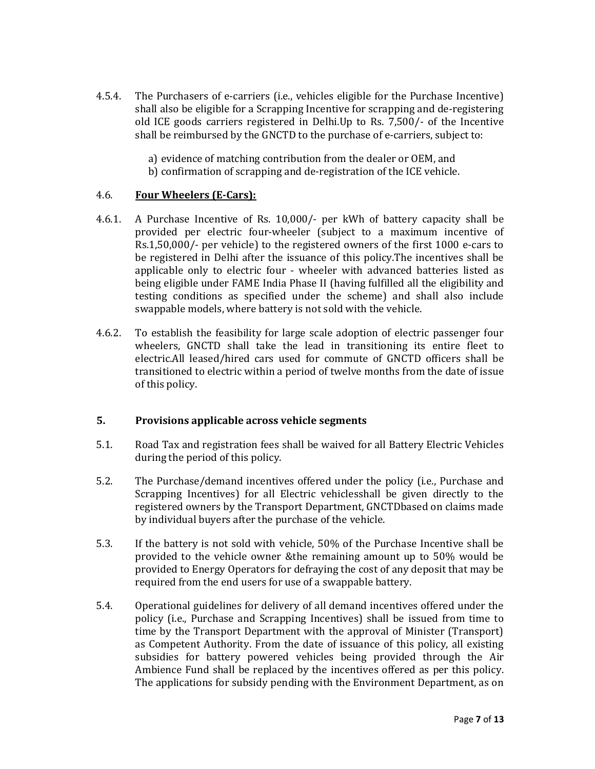- 4.5.4. The Purchasers of e-carriers (i.e., vehicles eligible for the Purchase Incentive) shall also be eligible for a Scrapping Incentive for scrapping and de-registering old ICE goods carriers registered in Delhi.Up to Rs. 7,500/- of the Incentive shall be reimbursed by the GNCTD to the purchase of e-carriers, subject to:
	- a) evidence of matching contribution from the dealer or OEM, and
	- b) confirmation of scrapping and de-registration of the ICE vehicle.

## 4.6. Four Wheelers (E-Cars):

- 4.6.1. A Purchase Incentive of Rs. 10,000/- per kWh of battery capacity shall be provided per electric four-wheeler (subject to a maximum incentive of Rs.1,50,000/- per vehicle) to the registered owners of the first 1000 e-cars to be registered in Delhi after the issuance of this policy.The incentives shall be applicable only to electric four - wheeler with advanced batteries listed as being eligible under FAME India Phase II (having fulfilled all the eligibility and testing conditions as specified under the scheme) and shall also include swappable models, where battery is not sold with the vehicle.
- 4.6.2. To establish the feasibility for large scale adoption of electric passenger four wheelers, GNCTD shall take the lead in transitioning its entire fleet to electric.All leased/hired cars used for commute of GNCTD officers shall be transitioned to electric within a period of twelve months from the date of issue of this policy.

#### 5. Provisions applicable across vehicle segments

- 5.1. Road Tax and registration fees shall be waived for all Battery Electric Vehicles during the period of this policy.
- 5.2. The Purchase/demand incentives offered under the policy (i.e., Purchase and Scrapping Incentives) for all Electric vehiclesshall be given directly to the registered owners by the Transport Department, GNCTDbased on claims made by individual buyers after the purchase of the vehicle.
- 5.3. If the battery is not sold with vehicle, 50% of the Purchase Incentive shall be provided to the vehicle owner &the remaining amount up to 50% would be provided to Energy Operators for defraying the cost of any deposit that may be required from the end users for use of a swappable battery.
- 5.4. Operational guidelines for delivery of all demand incentives offered under the policy (i.e., Purchase and Scrapping Incentives) shall be issued from time to time by the Transport Department with the approval of Minister (Transport) as Competent Authority. From the date of issuance of this policy, all existing subsidies for battery powered vehicles being provided through the Air Ambience Fund shall be replaced by the incentives offered as per this policy. The applications for subsidy pending with the Environment Department, as on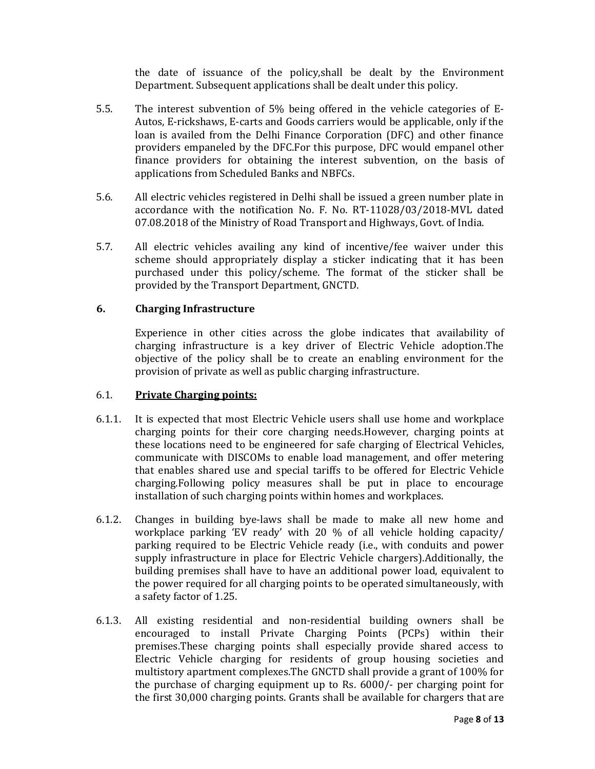the date of issuance of the policy,shall be dealt by the Environment Department. Subsequent applications shall be dealt under this policy.

- 5.5. The interest subvention of 5% being offered in the vehicle categories of E-Autos, E-rickshaws, E-carts and Goods carriers would be applicable, only if the loan is availed from the Delhi Finance Corporation (DFC) and other finance providers empaneled by the DFC.For this purpose, DFC would empanel other finance providers for obtaining the interest subvention, on the basis of applications from Scheduled Banks and NBFCs.
- 5.6. All electric vehicles registered in Delhi shall be issued a green number plate in accordance with the notification No. F. No. RT-11028/03/2018-MVL dated 07.08.2018 of the Ministry of Road Transport and Highways, Govt. of India.
- 5.7. All electric vehicles availing any kind of incentive/fee waiver under this scheme should appropriately display a sticker indicating that it has been purchased under this policy/scheme. The format of the sticker shall be provided by the Transport Department, GNCTD.

## 6. Charging Infrastructure

Experience in other cities across the globe indicates that availability of charging infrastructure is a key driver of Electric Vehicle adoption.The objective of the policy shall be to create an enabling environment for the provision of private as well as public charging infrastructure.

## 6.1. Private Charging points:

- 6.1.1. It is expected that most Electric Vehicle users shall use home and workplace charging points for their core charging needs.However, charging points at these locations need to be engineered for safe charging of Electrical Vehicles, communicate with DISCOMs to enable load management, and offer metering that enables shared use and special tariffs to be offered for Electric Vehicle charging.Following policy measures shall be put in place to encourage installation of such charging points within homes and workplaces.
- 6.1.2. Changes in building bye-laws shall be made to make all new home and workplace parking 'EV ready' with 20 % of all vehicle holding capacity/ parking required to be Electric Vehicle ready (i.e., with conduits and power supply infrastructure in place for Electric Vehicle chargers).Additionally, the building premises shall have to have an additional power load, equivalent to the power required for all charging points to be operated simultaneously, with a safety factor of 1.25.
- 6.1.3. All existing residential and non-residential building owners shall be encouraged to install Private Charging Points (PCPs) within their premises.These charging points shall especially provide shared access to Electric Vehicle charging for residents of group housing societies and multistory apartment complexes.The GNCTD shall provide a grant of 100% for the purchase of charging equipment up to Rs. 6000/- per charging point for the first 30,000 charging points. Grants shall be available for chargers that are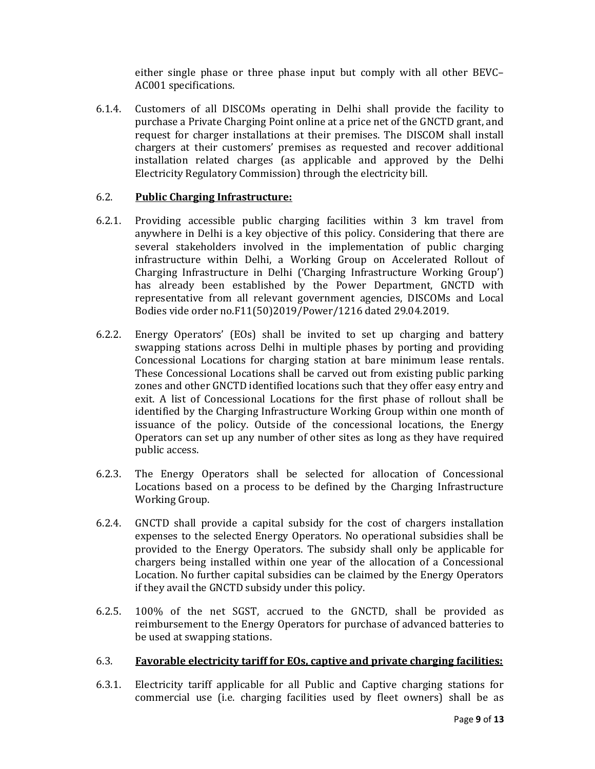either single phase or three phase input but comply with all other BEVC– AC001 specifications.

6.1.4. Customers of all DISCOMs operating in Delhi shall provide the facility to purchase a Private Charging Point online at a price net of the GNCTD grant, and request for charger installations at their premises. The DISCOM shall install chargers at their customers' premises as requested and recover additional installation related charges (as applicable and approved by the Delhi Electricity Regulatory Commission) through the electricity bill.

## 6.2. Public Charging Infrastructure:

- 6.2.1. Providing accessible public charging facilities within 3 km travel from anywhere in Delhi is a key objective of this policy. Considering that there are several stakeholders involved in the implementation of public charging infrastructure within Delhi, a Working Group on Accelerated Rollout of Charging Infrastructure in Delhi ('Charging Infrastructure Working Group') has already been established by the Power Department, GNCTD with representative from all relevant government agencies, DISCOMs and Local Bodies vide order no.F11(50)2019/Power/1216 dated 29.04.2019.
- 6.2.2. Energy Operators' (EOs) shall be invited to set up charging and battery swapping stations across Delhi in multiple phases by porting and providing Concessional Locations for charging station at bare minimum lease rentals. These Concessional Locations shall be carved out from existing public parking zones and other GNCTD identified locations such that they offer easy entry and exit. A list of Concessional Locations for the first phase of rollout shall be identified by the Charging Infrastructure Working Group within one month of issuance of the policy. Outside of the concessional locations, the Energy Operators can set up any number of other sites as long as they have required public access.
- 6.2.3. The Energy Operators shall be selected for allocation of Concessional Locations based on a process to be defined by the Charging Infrastructure Working Group.
- 6.2.4. GNCTD shall provide a capital subsidy for the cost of chargers installation expenses to the selected Energy Operators. No operational subsidies shall be provided to the Energy Operators. The subsidy shall only be applicable for chargers being installed within one year of the allocation of a Concessional Location. No further capital subsidies can be claimed by the Energy Operators if they avail the GNCTD subsidy under this policy.
- 6.2.5. 100% of the net SGST, accrued to the GNCTD, shall be provided as reimbursement to the Energy Operators for purchase of advanced batteries to be used at swapping stations.

## 6.3. Favorable electricity tariff for EOs, captive and private charging facilities:

6.3.1. Electricity tariff applicable for all Public and Captive charging stations for commercial use (i.e. charging facilities used by fleet owners) shall be as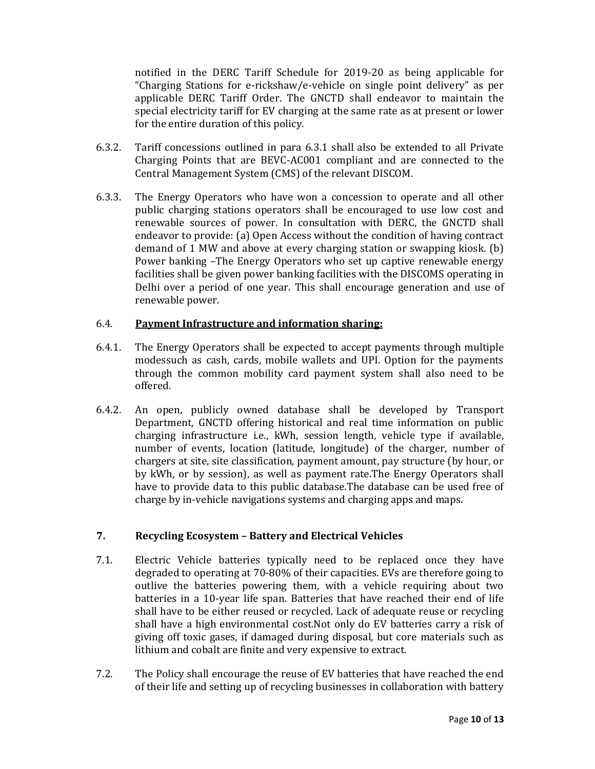notified in the DERC Tariff Schedule for 2019-20 as being applicable for "Charging Stations for e-rickshaw/e-vehicle on single point delivery" as per applicable DERC Tariff Order. The GNCTD shall endeavor to maintain the special electricity tariff for EV charging at the same rate as at present or lower for the entire duration of this policy.

- 6.3.2. Tariff concessions outlined in para 6.3.1 shall also be extended to all Private Charging Points that are BEVC-AC001 compliant and are connected to the Central Management System (CMS) of the relevant DISCOM.
- 6.3.3. The Energy Operators who have won a concession to operate and all other public charging stations operators shall be encouraged to use low cost and renewable sources of power. In consultation with DERC, the GNCTD shall endeavor to provide: (a) Open Access without the condition of having contract demand of 1 MW and above at every charging station or swapping kiosk. (b) Power banking –The Energy Operators who set up captive renewable energy facilities shall be given power banking facilities with the DISCOMS operating in Delhi over a period of one year. This shall encourage generation and use of renewable power.

## 6.4. Payment Infrastructure and information sharing:

- 6.4.1. The Energy Operators shall be expected to accept payments through multiple modessuch as cash, cards, mobile wallets and UPI. Option for the payments through the common mobility card payment system shall also need to be offered.
- 6.4.2. An open, publicly owned database shall be developed by Transport Department, GNCTD offering historical and real time information on public charging infrastructure i.e., kWh, session length, vehicle type if available, number of events, location (latitude, longitude) of the charger, number of chargers at site, site classification, payment amount, pay structure (by hour, or by kWh, or by session), as well as payment rate.The Energy Operators shall have to provide data to this public database.The database can be used free of charge by in-vehicle navigations systems and charging apps and maps.

# 7. Recycling Ecosystem – Battery and Electrical Vehicles

- 7.1. Electric Vehicle batteries typically need to be replaced once they have degraded to operating at 70-80% of their capacities. EVs are therefore going to outlive the batteries powering them, with a vehicle requiring about two batteries in a 10-year life span. Batteries that have reached their end of life shall have to be either reused or recycled. Lack of adequate reuse or recycling shall have a high environmental cost.Not only do EV batteries carry a risk of giving off toxic gases, if damaged during disposal, but core materials such as lithium and cobalt are finite and very expensive to extract.
- 7.2. The Policy shall encourage the reuse of EV batteries that have reached the end of their life and setting up of recycling businesses in collaboration with battery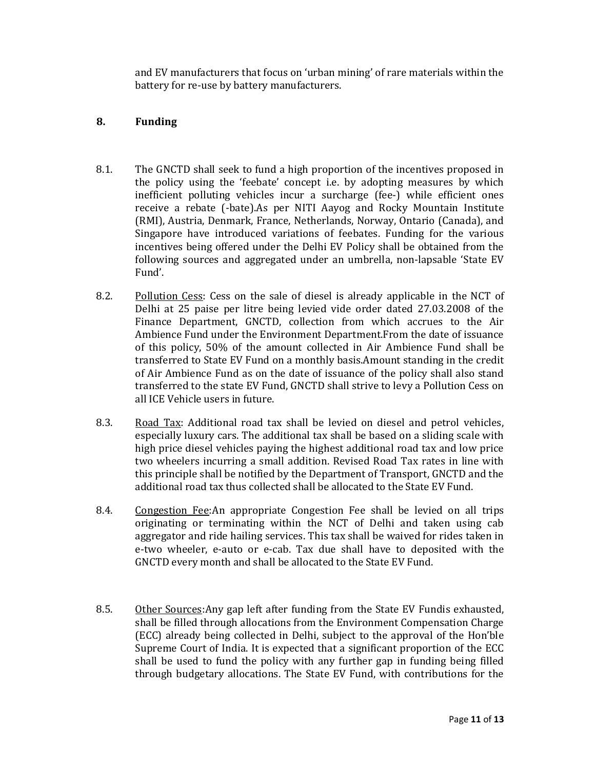and EV manufacturers that focus on 'urban mining' of rare materials within the battery for re-use by battery manufacturers.

## 8. Funding

- 8.1. The GNCTD shall seek to fund a high proportion of the incentives proposed in the policy using the 'feebate' concept i.e. by adopting measures by which inefficient polluting vehicles incur a surcharge (fee-) while efficient ones receive a rebate (-bate).As per NITI Aayog and Rocky Mountain Institute (RMI), Austria, Denmark, France, Netherlands, Norway, Ontario (Canada), and Singapore have introduced variations of feebates. Funding for the various incentives being offered under the Delhi EV Policy shall be obtained from the following sources and aggregated under an umbrella, non-lapsable 'State EV Fund'.
- 8.2. Pollution Cess: Cess on the sale of diesel is already applicable in the NCT of Delhi at 25 paise per litre being levied vide order dated 27.03.2008 of the Finance Department, GNCTD, collection from which accrues to the Air Ambience Fund under the Environment Department.From the date of issuance of this policy, 50% of the amount collected in Air Ambience Fund shall be transferred to State EV Fund on a monthly basis.Amount standing in the credit of Air Ambience Fund as on the date of issuance of the policy shall also stand transferred to the state EV Fund, GNCTD shall strive to levy a Pollution Cess on all ICE Vehicle users in future.
- 8.3. Road Tax: Additional road tax shall be levied on diesel and petrol vehicles, especially luxury cars. The additional tax shall be based on a sliding scale with high price diesel vehicles paying the highest additional road tax and low price two wheelers incurring a small addition. Revised Road Tax rates in line with this principle shall be notified by the Department of Transport, GNCTD and the additional road tax thus collected shall be allocated to the State EV Fund.
- 8.4. Congestion Fee:An appropriate Congestion Fee shall be levied on all trips originating or terminating within the NCT of Delhi and taken using cab aggregator and ride hailing services. This tax shall be waived for rides taken in e-two wheeler, e-auto or e-cab. Tax due shall have to deposited with the GNCTD every month and shall be allocated to the State EV Fund.
- 8.5. Other Sources:Any gap left after funding from the State EV Fundis exhausted, shall be filled through allocations from the Environment Compensation Charge (ECC) already being collected in Delhi, subject to the approval of the Hon'ble Supreme Court of India. It is expected that a significant proportion of the ECC shall be used to fund the policy with any further gap in funding being filled through budgetary allocations. The State EV Fund, with contributions for the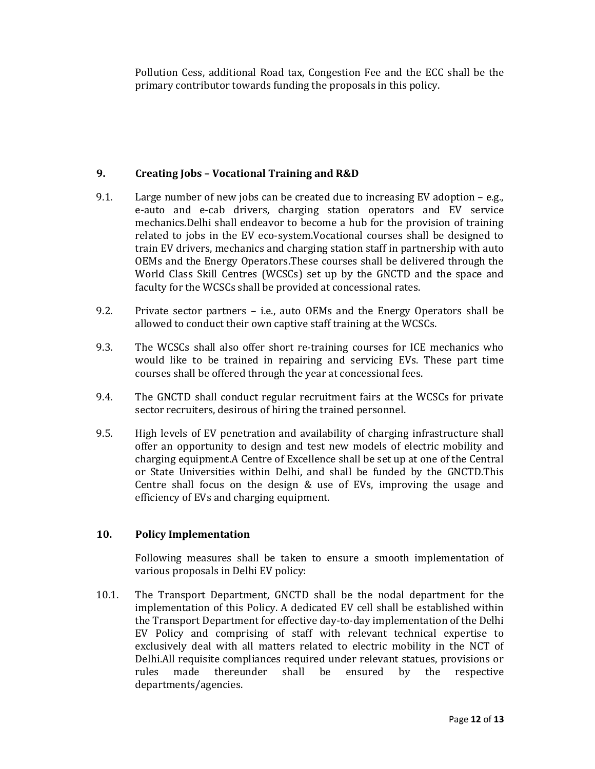Pollution Cess, additional Road tax, Congestion Fee and the ECC shall be the primary contributor towards funding the proposals in this policy.

## 9. Creating Jobs – Vocational Training and R&D

- 9.1. Large number of new jobs can be created due to increasing EV adoption e.g., e-auto and e-cab drivers, charging station operators and EV service mechanics.Delhi shall endeavor to become a hub for the provision of training related to jobs in the EV eco-system.Vocational courses shall be designed to train EV drivers, mechanics and charging station staff in partnership with auto OEMs and the Energy Operators.These courses shall be delivered through the World Class Skill Centres (WCSCs) set up by the GNCTD and the space and faculty for the WCSCs shall be provided at concessional rates.
- 9.2. Private sector partners i.e., auto OEMs and the Energy Operators shall be allowed to conduct their own captive staff training at the WCSCs.
- 9.3. The WCSCs shall also offer short re-training courses for ICE mechanics who would like to be trained in repairing and servicing EVs. These part time courses shall be offered through the year at concessional fees.
- 9.4. The GNCTD shall conduct regular recruitment fairs at the WCSCs for private sector recruiters, desirous of hiring the trained personnel.
- 9.5. High levels of EV penetration and availability of charging infrastructure shall offer an opportunity to design and test new models of electric mobility and charging equipment.A Centre of Excellence shall be set up at one of the Central or State Universities within Delhi, and shall be funded by the GNCTD.This Centre shall focus on the design & use of EVs, improving the usage and efficiency of EVs and charging equipment.

# 10. Policy Implementation

Following measures shall be taken to ensure a smooth implementation of various proposals in Delhi EV policy:

10.1. The Transport Department, GNCTD shall be the nodal department for the implementation of this Policy. A dedicated EV cell shall be established within the Transport Department for effective day-to-day implementation of the Delhi EV Policy and comprising of staff with relevant technical expertise to exclusively deal with all matters related to electric mobility in the NCT of Delhi.All requisite compliances required under relevant statues, provisions or rules made thereunder shall be ensured by the respective departments/agencies.